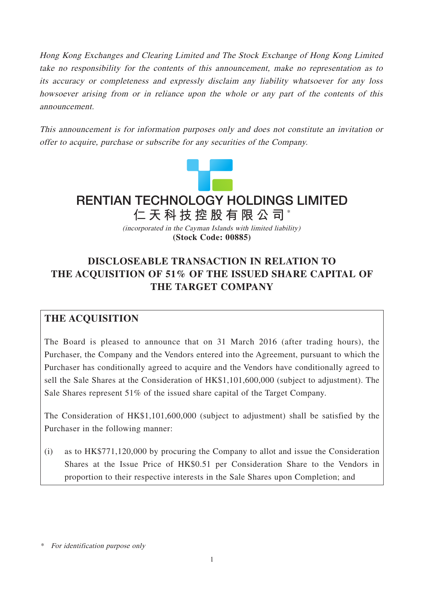Hong Kong Exchanges and Clearing Limited and The Stock Exchange of Hong Kong Limited take no responsibility for the contents of this announcement, make no representation as to its accuracy or completeness and expressly disclaim any liability whatsoever for any loss howsoever arising from or in reliance upon the whole or any part of the contents of this announcement.

This announcement is for information purposes only and does not constitute an invitation or offer to acquire, purchase or subscribe for any securities of the Company.



**RENTIAN TECHNOLOGY HOLDINGS LIMITED**

(incorporated in the Cayman Islands with limited liability) **仁天科技控股有限公司** \*

### **(Stock Code: 00885)**

# **DISCLOSEABLE TRANSACTION IN RELATION TO THE ACQUISITION OF 51% OF THE ISSUED SHARE CAPITAL OF THE TARGET COMPANY**

## **THE ACQUISITION**

The Board is pleased to announce that on 31 March 2016 (after trading hours), the Purchaser, the Company and the Vendors entered into the Agreement, pursuant to which the Purchaser has conditionally agreed to acquire and the Vendors have conditionally agreed to sell the Sale Shares at the Consideration of HK\$1,101,600,000 (subject to adjustment). The Sale Shares represent 51% of the issued share capital of the Target Company.

The Consideration of HK\$1,101,600,000 (subject to adjustment) shall be satisfied by the Purchaser in the following manner:

(i) as to HK\$771,120,000 by procuring the Company to allot and issue the Consideration Shares at the Issue Price of HK\$0.51 per Consideration Share to the Vendors in proportion to their respective interests in the Sale Shares upon Completion; and

<sup>\*</sup> For identification purpose only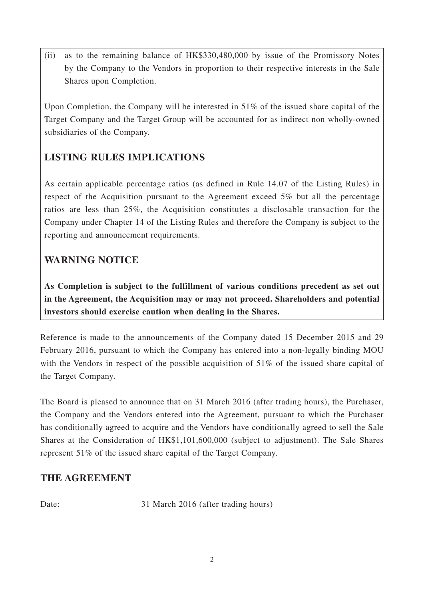(ii) as to the remaining balance of HK\$330,480,000 by issue of the Promissory Notes by the Company to the Vendors in proportion to their respective interests in the Sale Shares upon Completion.

Upon Completion, the Company will be interested in 51% of the issued share capital of the Target Company and the Target Group will be accounted for as indirect non wholly-owned subsidiaries of the Company.

# **LISTING RULES IMPLICATIONS**

As certain applicable percentage ratios (as defined in Rule 14.07 of the Listing Rules) in respect of the Acquisition pursuant to the Agreement exceed 5% but all the percentage ratios are less than 25%, the Acquisition constitutes a disclosable transaction for the Company under Chapter 14 of the Listing Rules and therefore the Company is subject to the reporting and announcement requirements.

# **WARNING NOTICE**

**As Completion is subject to the fulfillment of various conditions precedent as set out in the Agreement, the Acquisition may or may not proceed. Shareholders and potential investors should exercise caution when dealing in the Shares.**

Reference is made to the announcements of the Company dated 15 December 2015 and 29 February 2016, pursuant to which the Company has entered into a non-legally binding MOU with the Vendors in respect of the possible acquisition of 51% of the issued share capital of the Target Company.

The Board is pleased to announce that on 31 March 2016 (after trading hours), the Purchaser, the Company and the Vendors entered into the Agreement, pursuant to which the Purchaser has conditionally agreed to acquire and the Vendors have conditionally agreed to sell the Sale Shares at the Consideration of HK\$1,101,600,000 (subject to adjustment). The Sale Shares represent 51% of the issued share capital of the Target Company.

# **THE AGREEMENT**

Date: 31 March 2016 (after trading hours)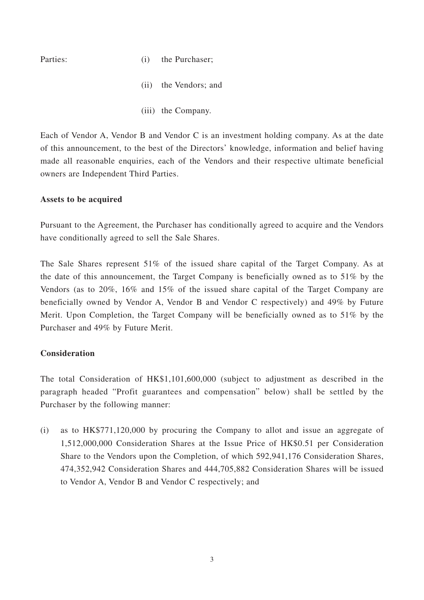- Parties: (i) the Purchaser:
	- (ii) the Vendors; and
	- (iii) the Company.

Each of Vendor A, Vendor B and Vendor C is an investment holding company. As at the date of this announcement, to the best of the Directors' knowledge, information and belief having made all reasonable enquiries, each of the Vendors and their respective ultimate beneficial owners are Independent Third Parties.

#### **Assets to be acquired**

Pursuant to the Agreement, the Purchaser has conditionally agreed to acquire and the Vendors have conditionally agreed to sell the Sale Shares.

The Sale Shares represent 51% of the issued share capital of the Target Company. As at the date of this announcement, the Target Company is beneficially owned as to 51% by the Vendors (as to 20%, 16% and 15% of the issued share capital of the Target Company are beneficially owned by Vendor A, Vendor B and Vendor C respectively) and 49% by Future Merit. Upon Completion, the Target Company will be beneficially owned as to 51% by the Purchaser and 49% by Future Merit.

#### **Consideration**

The total Consideration of HK\$1,101,600,000 (subject to adjustment as described in the paragraph headed "Profit guarantees and compensation" below) shall be settled by the Purchaser by the following manner:

(i) as to HK\$771,120,000 by procuring the Company to allot and issue an aggregate of 1,512,000,000 Consideration Shares at the Issue Price of HK\$0.51 per Consideration Share to the Vendors upon the Completion, of which 592,941,176 Consideration Shares, 474,352,942 Consideration Shares and 444,705,882 Consideration Shares will be issued to Vendor A, Vendor B and Vendor C respectively; and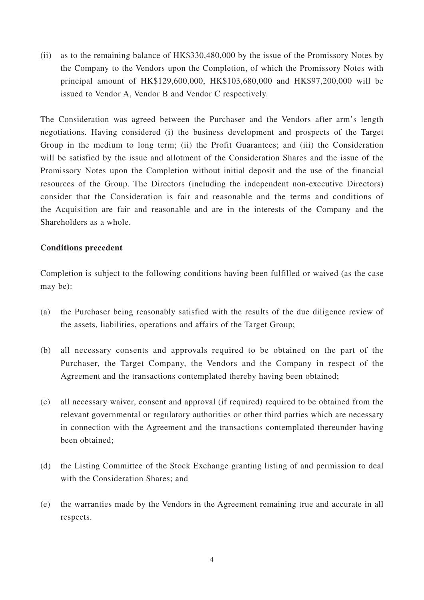(ii) as to the remaining balance of HK\$330,480,000 by the issue of the Promissory Notes by the Company to the Vendors upon the Completion, of which the Promissory Notes with principal amount of HK\$129,600,000, HK\$103,680,000 and HK\$97,200,000 will be issued to Vendor A, Vendor B and Vendor C respectively.

The Consideration was agreed between the Purchaser and the Vendors after arm's length negotiations. Having considered (i) the business development and prospects of the Target Group in the medium to long term; (ii) the Profit Guarantees; and (iii) the Consideration will be satisfied by the issue and allotment of the Consideration Shares and the issue of the Promissory Notes upon the Completion without initial deposit and the use of the financial resources of the Group. The Directors (including the independent non-executive Directors) consider that the Consideration is fair and reasonable and the terms and conditions of the Acquisition are fair and reasonable and are in the interests of the Company and the Shareholders as a whole.

#### **Conditions precedent**

Completion is subject to the following conditions having been fulfilled or waived (as the case may be):

- (a) the Purchaser being reasonably satisfied with the results of the due diligence review of the assets, liabilities, operations and affairs of the Target Group;
- (b) all necessary consents and approvals required to be obtained on the part of the Purchaser, the Target Company, the Vendors and the Company in respect of the Agreement and the transactions contemplated thereby having been obtained;
- (c) all necessary waiver, consent and approval (if required) required to be obtained from the relevant governmental or regulatory authorities or other third parties which are necessary in connection with the Agreement and the transactions contemplated thereunder having been obtained;
- (d) the Listing Committee of the Stock Exchange granting listing of and permission to deal with the Consideration Shares; and
- (e) the warranties made by the Vendors in the Agreement remaining true and accurate in all respects.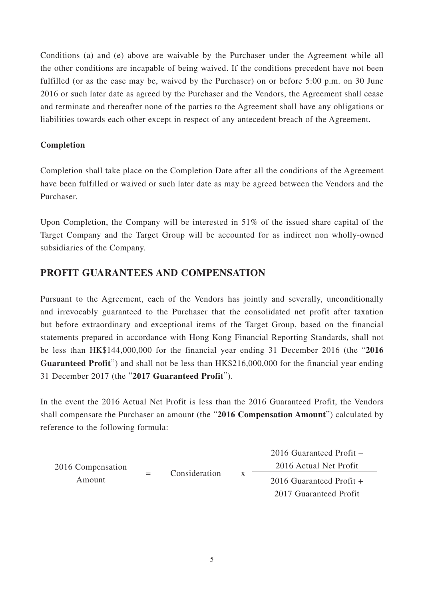Conditions (a) and (e) above are waivable by the Purchaser under the Agreement while all the other conditions are incapable of being waived. If the conditions precedent have not been fulfilled (or as the case may be, waived by the Purchaser) on or before 5:00 p.m. on 30 June 2016 or such later date as agreed by the Purchaser and the Vendors, the Agreement shall cease and terminate and thereafter none of the parties to the Agreement shall have any obligations or liabilities towards each other except in respect of any antecedent breach of the Agreement.

### **Completion**

Completion shall take place on the Completion Date after all the conditions of the Agreement have been fulfilled or waived or such later date as may be agreed between the Vendors and the Purchaser.

Upon Completion, the Company will be interested in 51% of the issued share capital of the Target Company and the Target Group will be accounted for as indirect non wholly-owned subsidiaries of the Company.

# **PROFIT GUARANTEES AND COMPENSATION**

Pursuant to the Agreement, each of the Vendors has jointly and severally, unconditionally and irrevocably guaranteed to the Purchaser that the consolidated net profit after taxation but before extraordinary and exceptional items of the Target Group, based on the financial statements prepared in accordance with Hong Kong Financial Reporting Standards, shall not be less than HK\$144,000,000 for the financial year ending 31 December 2016 (the "**2016 Guaranteed Profit**") and shall not be less than HK\$216,000,000 for the financial year ending 31 December 2017 (the "**2017 Guaranteed Profit**").

In the event the 2016 Actual Net Profit is less than the 2016 Guaranteed Profit, the Vendors shall compensate the Purchaser an amount (the "**2016 Compensation Amount**") calculated by reference to the following formula:

| 2016 Compensation<br>Amount |  | Consideration |   | $2016$ Guaranteed Profit $-$ |
|-----------------------------|--|---------------|---|------------------------------|
|                             |  |               |   | 2016 Actual Net Profit       |
|                             |  |               | X | 2016 Guaranteed Profit $+$   |
|                             |  |               |   | 2017 Guaranteed Profit       |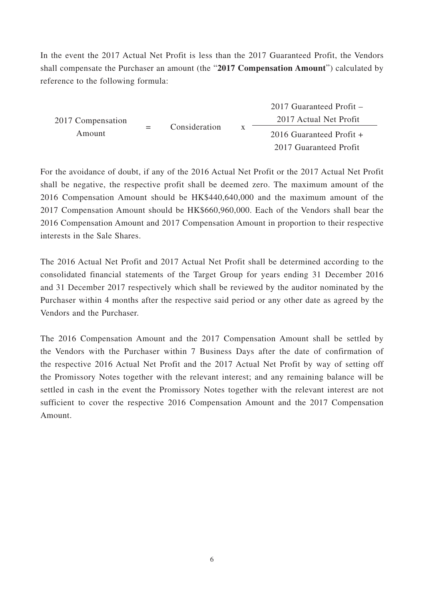In the event the 2017 Actual Net Profit is less than the 2017 Guaranteed Profit, the Vendors shall compensate the Purchaser an amount (the "**2017 Compensation Amount**") calculated by reference to the following formula:

2017 Compensation Amount = Consideration x 2017 Guaranteed Profit – 2017 Actual Net Profit 2016 Guaranteed Profit + 2017 Guaranteed Profit

For the avoidance of doubt, if any of the 2016 Actual Net Profit or the 2017 Actual Net Profit shall be negative, the respective profit shall be deemed zero. The maximum amount of the 2016 Compensation Amount should be HK\$440,640,000 and the maximum amount of the 2017 Compensation Amount should be HK\$660,960,000. Each of the Vendors shall bear the 2016 Compensation Amount and 2017 Compensation Amount in proportion to their respective interests in the Sale Shares.

The 2016 Actual Net Profit and 2017 Actual Net Profit shall be determined according to the consolidated financial statements of the Target Group for years ending 31 December 2016 and 31 December 2017 respectively which shall be reviewed by the auditor nominated by the Purchaser within 4 months after the respective said period or any other date as agreed by the Vendors and the Purchaser.

The 2016 Compensation Amount and the 2017 Compensation Amount shall be settled by the Vendors with the Purchaser within 7 Business Days after the date of confirmation of the respective 2016 Actual Net Profit and the 2017 Actual Net Profit by way of setting off the Promissory Notes together with the relevant interest; and any remaining balance will be settled in cash in the event the Promissory Notes together with the relevant interest are not sufficient to cover the respective 2016 Compensation Amount and the 2017 Compensation Amount.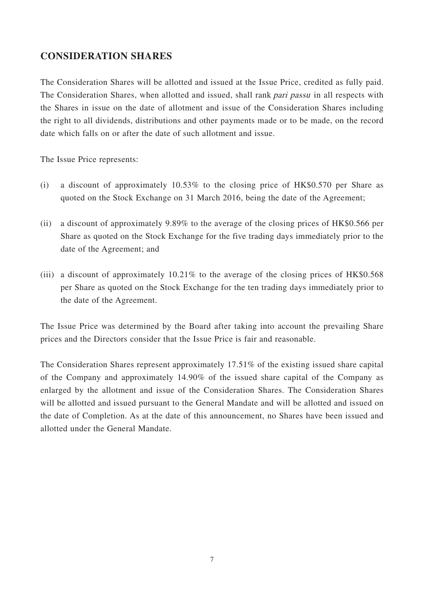## **CONSIDERATION SHARES**

The Consideration Shares will be allotted and issued at the Issue Price, credited as fully paid. The Consideration Shares, when allotted and issued, shall rank pari passu in all respects with the Shares in issue on the date of allotment and issue of the Consideration Shares including the right to all dividends, distributions and other payments made or to be made, on the record date which falls on or after the date of such allotment and issue.

The Issue Price represents:

- (i) a discount of approximately 10.53% to the closing price of HK\$0.570 per Share as quoted on the Stock Exchange on 31 March 2016, being the date of the Agreement;
- (ii) a discount of approximately 9.89% to the average of the closing prices of HK\$0.566 per Share as quoted on the Stock Exchange for the five trading days immediately prior to the date of the Agreement; and
- (iii) a discount of approximately 10.21% to the average of the closing prices of HK\$0.568 per Share as quoted on the Stock Exchange for the ten trading days immediately prior to the date of the Agreement.

The Issue Price was determined by the Board after taking into account the prevailing Share prices and the Directors consider that the Issue Price is fair and reasonable.

The Consideration Shares represent approximately 17.51% of the existing issued share capital of the Company and approximately 14.90% of the issued share capital of the Company as enlarged by the allotment and issue of the Consideration Shares. The Consideration Shares will be allotted and issued pursuant to the General Mandate and will be allotted and issued on the date of Completion. As at the date of this announcement, no Shares have been issued and allotted under the General Mandate.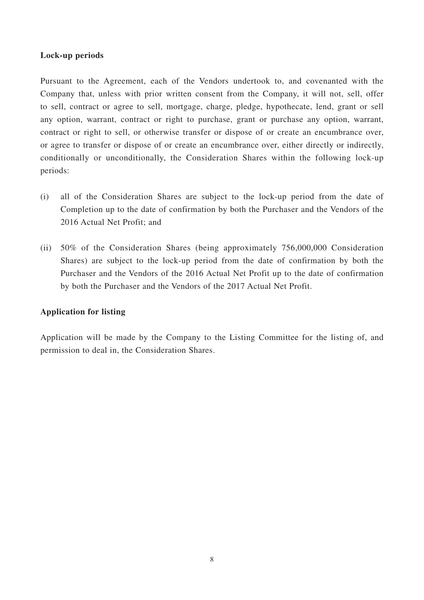#### **Lock-up periods**

Pursuant to the Agreement, each of the Vendors undertook to, and covenanted with the Company that, unless with prior written consent from the Company, it will not, sell, offer to sell, contract or agree to sell, mortgage, charge, pledge, hypothecate, lend, grant or sell any option, warrant, contract or right to purchase, grant or purchase any option, warrant, contract or right to sell, or otherwise transfer or dispose of or create an encumbrance over, or agree to transfer or dispose of or create an encumbrance over, either directly or indirectly, conditionally or unconditionally, the Consideration Shares within the following lock-up periods:

- (i) all of the Consideration Shares are subject to the lock-up period from the date of Completion up to the date of confirmation by both the Purchaser and the Vendors of the 2016 Actual Net Profit; and
- (ii) 50% of the Consideration Shares (being approximately 756,000,000 Consideration Shares) are subject to the lock-up period from the date of confirmation by both the Purchaser and the Vendors of the 2016 Actual Net Profit up to the date of confirmation by both the Purchaser and the Vendors of the 2017 Actual Net Profit.

#### **Application for listing**

Application will be made by the Company to the Listing Committee for the listing of, and permission to deal in, the Consideration Shares.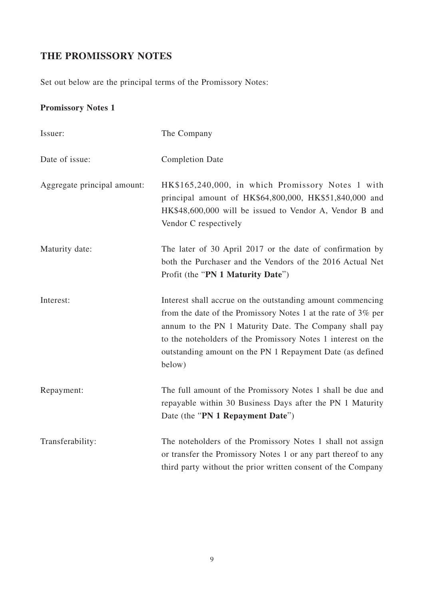# **THE PROMISSORY NOTES**

Set out below are the principal terms of the Promissory Notes:

# **Promissory Notes 1**

| Issuer:                     | The Company                                                                                                                                                                                                                                                                                                                  |
|-----------------------------|------------------------------------------------------------------------------------------------------------------------------------------------------------------------------------------------------------------------------------------------------------------------------------------------------------------------------|
| Date of issue:              | <b>Completion Date</b>                                                                                                                                                                                                                                                                                                       |
| Aggregate principal amount: | HK\$165,240,000, in which Promissory Notes 1 with<br>principal amount of HK\$64,800,000, HK\$51,840,000 and<br>HK\$48,600,000 will be issued to Vendor A, Vendor B and<br>Vendor C respectively                                                                                                                              |
| Maturity date:              | The later of 30 April 2017 or the date of confirmation by<br>both the Purchaser and the Vendors of the 2016 Actual Net<br>Profit (the "PN 1 Maturity Date")                                                                                                                                                                  |
| Interest:                   | Interest shall accrue on the outstanding amount commencing<br>from the date of the Promissory Notes 1 at the rate of 3% per<br>annum to the PN 1 Maturity Date. The Company shall pay<br>to the noteholders of the Promissory Notes 1 interest on the<br>outstanding amount on the PN 1 Repayment Date (as defined<br>below) |
| Repayment:                  | The full amount of the Promissory Notes 1 shall be due and<br>repayable within 30 Business Days after the PN 1 Maturity<br>Date (the "PN 1 Repayment Date")                                                                                                                                                                  |
| Transferability:            | The noteholders of the Promissory Notes 1 shall not assign<br>or transfer the Promissory Notes 1 or any part thereof to any<br>third party without the prior written consent of the Company                                                                                                                                  |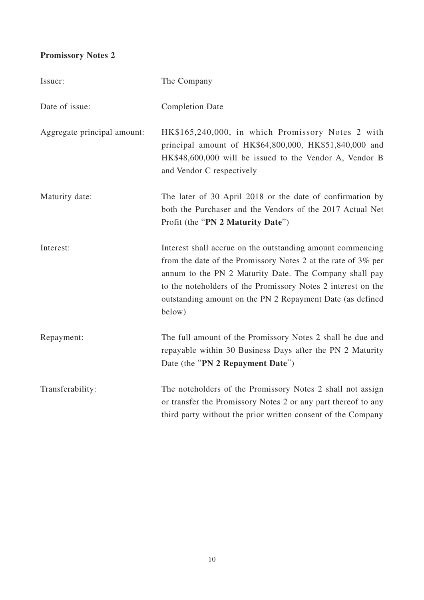# **Promissory Notes 2**

| Issuer:                     | The Company                                                                                                                                                                                                                                                                                                                  |
|-----------------------------|------------------------------------------------------------------------------------------------------------------------------------------------------------------------------------------------------------------------------------------------------------------------------------------------------------------------------|
| Date of issue:              | <b>Completion Date</b>                                                                                                                                                                                                                                                                                                       |
| Aggregate principal amount: | HK\$165,240,000, in which Promissory Notes 2 with<br>principal amount of HK\$64,800,000, HK\$51,840,000 and<br>HK\$48,600,000 will be issued to the Vendor A, Vendor B<br>and Vendor C respectively                                                                                                                          |
| Maturity date:              | The later of 30 April 2018 or the date of confirmation by<br>both the Purchaser and the Vendors of the 2017 Actual Net<br>Profit (the "PN 2 Maturity Date")                                                                                                                                                                  |
| Interest:                   | Interest shall accrue on the outstanding amount commencing<br>from the date of the Promissory Notes 2 at the rate of 3% per<br>annum to the PN 2 Maturity Date. The Company shall pay<br>to the noteholders of the Promissory Notes 2 interest on the<br>outstanding amount on the PN 2 Repayment Date (as defined<br>below) |
| Repayment:                  | The full amount of the Promissory Notes 2 shall be due and<br>repayable within 30 Business Days after the PN 2 Maturity<br>Date (the "PN 2 Repayment Date")                                                                                                                                                                  |
| Transferability:            | The noteholders of the Promissory Notes 2 shall not assign<br>or transfer the Promissory Notes 2 or any part thereof to any<br>third party without the prior written consent of the Company                                                                                                                                  |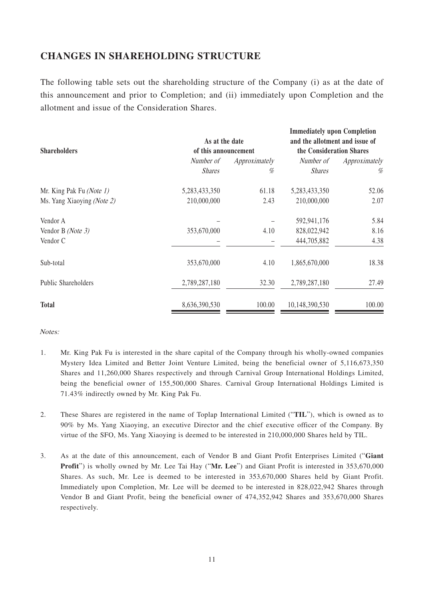# **CHANGES IN SHAREHOLDING STRUCTURE**

The following table sets out the shareholding structure of the Company (i) as at the date of this announcement and prior to Completion; and (ii) immediately upon Completion and the allotment and issue of the Consideration Shares.

| <b>Shareholders</b>        | As at the date<br>of this announcement |               | <b>Immediately upon Completion</b><br>and the allotment and issue of<br>the Consideration Shares |               |
|----------------------------|----------------------------------------|---------------|--------------------------------------------------------------------------------------------------|---------------|
|                            | Number of                              | Approximately | Number of                                                                                        | Approximately |
|                            | <b>Shares</b>                          | %             | <b>Shares</b>                                                                                    | %             |
| Mr. King Pak Fu (Note 1)   | 5,283,433,350                          | 61.18         | 5,283,433,350                                                                                    | 52.06         |
| Ms. Yang Xiaoying (Note 2) | 210,000,000                            | 2.43          | 210,000,000                                                                                      | 2.07          |
| Vendor A                   |                                        |               | 592,941,176                                                                                      | 5.84          |
| Vendor B (Note 3)          | 353,670,000                            | 4.10          | 828,022,942                                                                                      | 8.16          |
| Vendor C                   |                                        |               | 444,705,882                                                                                      | 4.38          |
| Sub-total                  | 353,670,000                            | 4.10          | 1,865,670,000                                                                                    | 18.38         |
| Public Shareholders        | 2,789,287,180                          | 32.30         | 2,789,287,180                                                                                    | 27.49         |
| <b>Total</b>               | 8,636,390,530                          | 100.00        | 10,148,390,530                                                                                   | 100.00        |

Notes:

- 1. Mr. King Pak Fu is interested in the share capital of the Company through his wholly-owned companies Mystery Idea Limited and Better Joint Venture Limited, being the beneficial owner of 5,116,673,350 Shares and 11,260,000 Shares respectively and through Carnival Group International Holdings Limited, being the beneficial owner of 155,500,000 Shares. Carnival Group International Holdings Limited is 71.43% indirectly owned by Mr. King Pak Fu.
- 2. These Shares are registered in the name of Toplap International Limited ("**TIL**"), which is owned as to 90% by Ms. Yang Xiaoying, an executive Director and the chief executive officer of the Company. By virtue of the SFO, Ms. Yang Xiaoying is deemed to be interested in 210,000,000 Shares held by TIL.
- 3. As at the date of this announcement, each of Vendor B and Giant Profit Enterprises Limited ("**Giant Profit**") is wholly owned by Mr. Lee Tai Hay ("Mr. Lee") and Giant Profit is interested in 353,670,000 Shares. As such, Mr. Lee is deemed to be interested in 353,670,000 Shares held by Giant Profit. Immediately upon Completion, Mr. Lee will be deemed to be interested in 828,022,942 Shares through Vendor B and Giant Profit, being the beneficial owner of 474,352,942 Shares and 353,670,000 Shares respectively.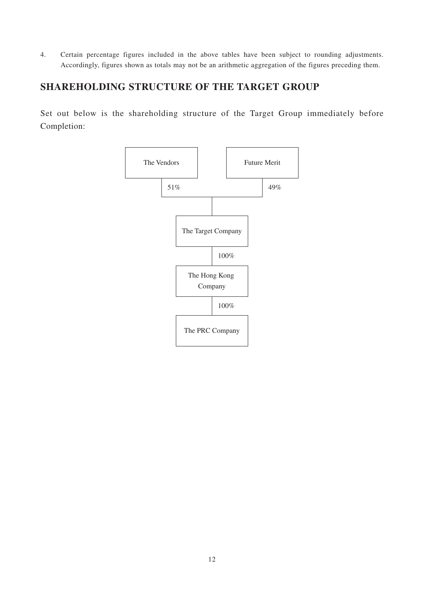4. Certain percentage figures included in the above tables have been subject to rounding adjustments. Accordingly, figures shown as totals may not be an arithmetic aggregation of the figures preceding them.

# **SHAREHOLDING STRUCTURE OF THE TARGET GROUP**

Set out below is the shareholding structure of the Target Group immediately before Completion:

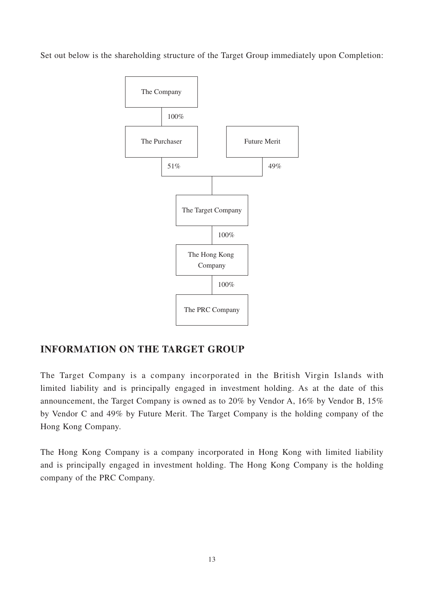Set out below is the shareholding structure of the Target Group immediately upon Completion:



# **INFORMATION ON THE TARGET GROUP**

The Target Company is a company incorporated in the British Virgin Islands with limited liability and is principally engaged in investment holding. As at the date of this announcement, the Target Company is owned as to 20% by Vendor A, 16% by Vendor B, 15% by Vendor C and 49% by Future Merit. The Target Company is the holding company of the Hong Kong Company.

The Hong Kong Company is a company incorporated in Hong Kong with limited liability and is principally engaged in investment holding. The Hong Kong Company is the holding company of the PRC Company.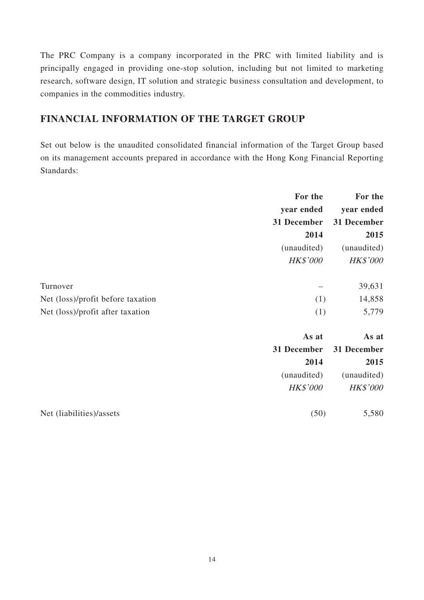The PRC Company is a company incorporated in the PRC with limited liability and is principally engaged in providing one-stop solution, including but not limited to marketing research, software design, IT solution and strategic business consultation and development, to companies in the commodities industry.

# **FINANCIAL INFORMATION OF THE TARGET GROUP**

Set out below is the unaudited consolidated financial information of the Target Group based on its management accounts prepared in accordance with the Hong Kong Financial Reporting Standards:

|                                   | For the     | For the         |
|-----------------------------------|-------------|-----------------|
|                                   | year ended  | year ended      |
|                                   | 31 December | 31 December     |
|                                   | 2014        | 2015            |
|                                   | (unaudited) | (unaudited)     |
|                                   | HK\$'000    | <b>HK\$'000</b> |
| Turnover                          |             | 39,631          |
| Net (loss)/profit before taxation | (1)         | 14,858          |
| Net (loss)/profit after taxation  | (1)         | 5,779           |
|                                   | As at       | As at           |
|                                   | 31 December | 31 December     |
|                                   | 2014        | 2015            |
|                                   | (unaudited) | (unaudited)     |
|                                   | HK\$'000    | <b>HK\$'000</b> |
| Net (liabilities)/assets          | (50)        | 5,580           |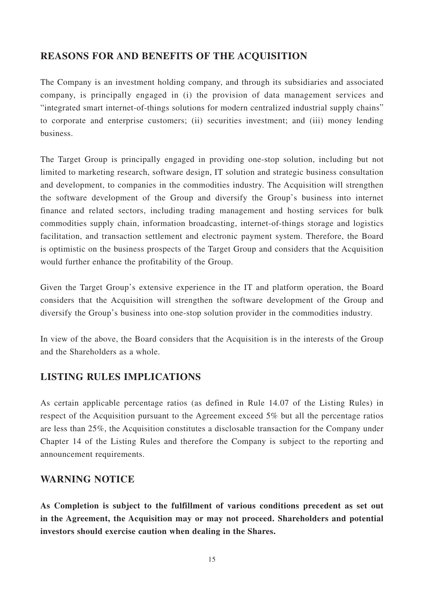## **REASONS FOR AND BENEFITS OF THE ACQUISITION**

The Company is an investment holding company, and through its subsidiaries and associated company, is principally engaged in (i) the provision of data management services and "integrated smart internet-of-things solutions for modern centralized industrial supply chains" to corporate and enterprise customers; (ii) securities investment; and (iii) money lending business.

The Target Group is principally engaged in providing one-stop solution, including but not limited to marketing research, software design, IT solution and strategic business consultation and development, to companies in the commodities industry. The Acquisition will strengthen the software development of the Group and diversify the Group's business into internet finance and related sectors, including trading management and hosting services for bulk commodities supply chain, information broadcasting, internet-of-things storage and logistics facilitation, and transaction settlement and electronic payment system. Therefore, the Board is optimistic on the business prospects of the Target Group and considers that the Acquisition would further enhance the profitability of the Group.

Given the Target Group's extensive experience in the IT and platform operation, the Board considers that the Acquisition will strengthen the software development of the Group and diversify the Group's business into one-stop solution provider in the commodities industry.

In view of the above, the Board considers that the Acquisition is in the interests of the Group and the Shareholders as a whole.

## **LISTING RULES IMPLICATIONS**

As certain applicable percentage ratios (as defined in Rule 14.07 of the Listing Rules) in respect of the Acquisition pursuant to the Agreement exceed 5% but all the percentage ratios are less than 25%, the Acquisition constitutes a disclosable transaction for the Company under Chapter 14 of the Listing Rules and therefore the Company is subject to the reporting and announcement requirements.

## **WARNING NOTICE**

**As Completion is subject to the fulfillment of various conditions precedent as set out in the Agreement, the Acquisition may or may not proceed. Shareholders and potential investors should exercise caution when dealing in the Shares.**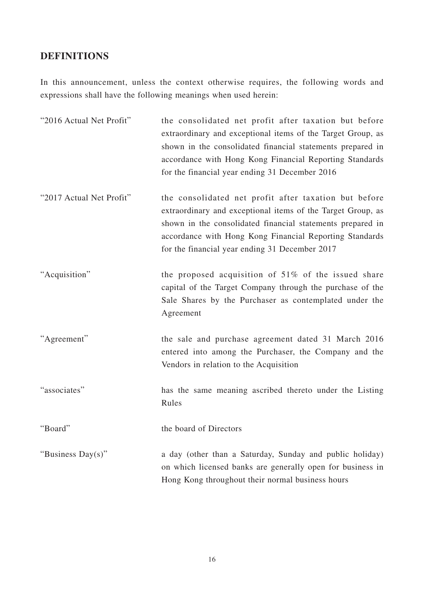# **DEFINITIONS**

In this announcement, unless the context otherwise requires, the following words and expressions shall have the following meanings when used herein:

| "2016 Actual Net Profit" | the consolidated net profit after taxation but before<br>extraordinary and exceptional items of the Target Group, as<br>shown in the consolidated financial statements prepared in<br>accordance with Hong Kong Financial Reporting Standards<br>for the financial year ending 31 December 2016 |
|--------------------------|-------------------------------------------------------------------------------------------------------------------------------------------------------------------------------------------------------------------------------------------------------------------------------------------------|
| "2017 Actual Net Profit" | the consolidated net profit after taxation but before<br>extraordinary and exceptional items of the Target Group, as<br>shown in the consolidated financial statements prepared in<br>accordance with Hong Kong Financial Reporting Standards<br>for the financial year ending 31 December 2017 |
| "Acquisition"            | the proposed acquisition of $51\%$ of the issued share<br>capital of the Target Company through the purchase of the<br>Sale Shares by the Purchaser as contemplated under the<br>Agreement                                                                                                      |
| "Agreement"              | the sale and purchase agreement dated 31 March 2016<br>entered into among the Purchaser, the Company and the<br>Vendors in relation to the Acquisition                                                                                                                                          |
| "associates"             | has the same meaning ascribed thereto under the Listing<br>Rules                                                                                                                                                                                                                                |
| "Board"                  | the board of Directors                                                                                                                                                                                                                                                                          |
| "Business Day(s)"        | a day (other than a Saturday, Sunday and public holiday)<br>on which licensed banks are generally open for business in<br>Hong Kong throughout their normal business hours                                                                                                                      |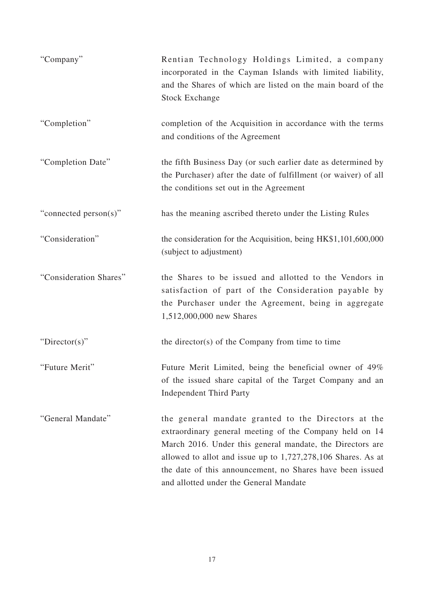| "Company"              | Rentian Technology Holdings Limited, a company<br>incorporated in the Cayman Islands with limited liability,<br>and the Shares of which are listed on the main board of the<br><b>Stock Exchange</b>                                                                                                                                                 |
|------------------------|------------------------------------------------------------------------------------------------------------------------------------------------------------------------------------------------------------------------------------------------------------------------------------------------------------------------------------------------------|
| "Completion"           | completion of the Acquisition in accordance with the terms<br>and conditions of the Agreement                                                                                                                                                                                                                                                        |
| "Completion Date"      | the fifth Business Day (or such earlier date as determined by<br>the Purchaser) after the date of fulfillment (or waiver) of all<br>the conditions set out in the Agreement                                                                                                                                                                          |
| "connected person(s)"  | has the meaning ascribed thereto under the Listing Rules                                                                                                                                                                                                                                                                                             |
| "Consideration"        | the consideration for the Acquisition, being HK\$1,101,600,000<br>(subject to adjustment)                                                                                                                                                                                                                                                            |
| "Consideration Shares" | the Shares to be issued and allotted to the Vendors in<br>satisfaction of part of the Consideration payable by<br>the Purchaser under the Agreement, being in aggregate<br>1,512,000,000 new Shares                                                                                                                                                  |
| "Director(s)"          | the director(s) of the Company from time to time                                                                                                                                                                                                                                                                                                     |
| "Future Merit"         | Future Merit Limited, being the beneficial owner of 49%<br>of the issued share capital of the Target Company and an<br><b>Independent Third Party</b>                                                                                                                                                                                                |
| "General Mandate"      | the general mandate granted to the Directors at the<br>extraordinary general meeting of the Company held on 14<br>March 2016. Under this general mandate, the Directors are<br>allowed to allot and issue up to $1,727,278,106$ Shares. As at<br>the date of this announcement, no Shares have been issued<br>and allotted under the General Mandate |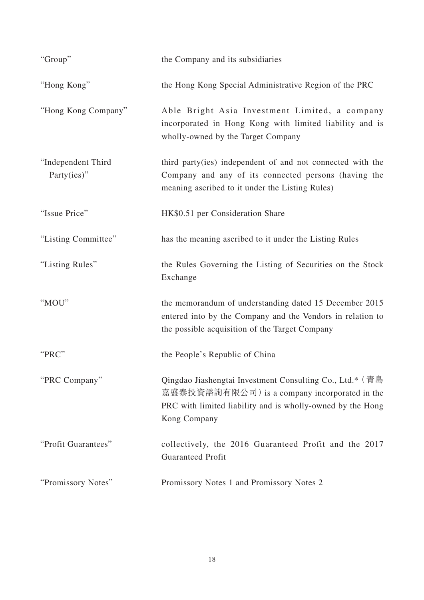| "Group"                           | the Company and its subsidiaries                                                                                                                                                        |
|-----------------------------------|-----------------------------------------------------------------------------------------------------------------------------------------------------------------------------------------|
| "Hong Kong"                       | the Hong Kong Special Administrative Region of the PRC                                                                                                                                  |
| "Hong Kong Company"               | Able Bright Asia Investment Limited, a company<br>incorporated in Hong Kong with limited liability and is<br>wholly-owned by the Target Company                                         |
| "Independent Third<br>Party(ies)" | third party(ies) independent of and not connected with the<br>Company and any of its connected persons (having the<br>meaning ascribed to it under the Listing Rules)                   |
| "Issue Price"                     | HK\$0.51 per Consideration Share                                                                                                                                                        |
| "Listing Committee"               | has the meaning ascribed to it under the Listing Rules                                                                                                                                  |
| "Listing Rules"                   | the Rules Governing the Listing of Securities on the Stock<br>Exchange                                                                                                                  |
| "MOU"                             | the memorandum of understanding dated 15 December 2015<br>entered into by the Company and the Vendors in relation to<br>the possible acquisition of the Target Company                  |
| "PRC"                             | the People's Republic of China                                                                                                                                                          |
| "PRC Company"                     | Qingdao Jiashengtai Investment Consulting Co., Ltd.* (青島<br>嘉盛泰投資諮詢有限公司) is a company incorporated in the<br>PRC with limited liability and is wholly-owned by the Hong<br>Kong Company |
| "Profit Guarantees"               | collectively, the 2016 Guaranteed Profit and the 2017<br><b>Guaranteed Profit</b>                                                                                                       |
| "Promissory Notes"                | Promissory Notes 1 and Promissory Notes 2                                                                                                                                               |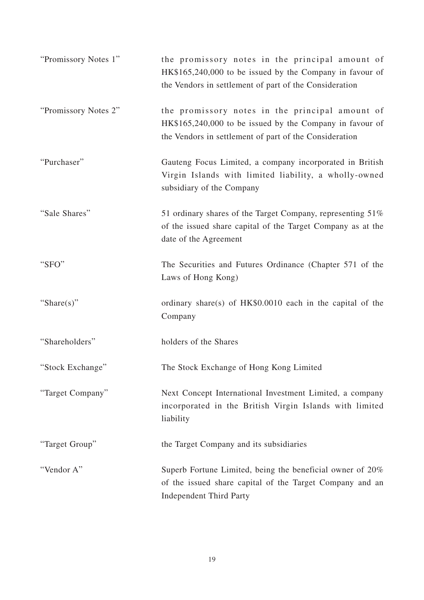| "Promissory Notes 1" | the promissory notes in the principal amount of<br>HK\$165,240,000 to be issued by the Company in favour of<br>the Vendors in settlement of part of the Consideration |
|----------------------|-----------------------------------------------------------------------------------------------------------------------------------------------------------------------|
| "Promissory Notes 2" | the promissory notes in the principal amount of<br>HK\$165,240,000 to be issued by the Company in favour of<br>the Vendors in settlement of part of the Consideration |
| "Purchaser"          | Gauteng Focus Limited, a company incorporated in British<br>Virgin Islands with limited liability, a wholly-owned<br>subsidiary of the Company                        |
| "Sale Shares"        | 51 ordinary shares of the Target Company, representing 51%<br>of the issued share capital of the Target Company as at the<br>date of the Agreement                    |
| "SFO"                | The Securities and Futures Ordinance (Chapter 571 of the<br>Laws of Hong Kong)                                                                                        |
| "Share $(s)$ "       | ordinary share(s) of $HK$0.0010$ each in the capital of the<br>Company                                                                                                |
| "Shareholders"       | holders of the Shares                                                                                                                                                 |
| "Stock Exchange"     | The Stock Exchange of Hong Kong Limited                                                                                                                               |
| "Target Company"     | Next Concept International Investment Limited, a company<br>incorporated in the British Virgin Islands with limited<br>liability                                      |
| "Target Group"       | the Target Company and its subsidiaries                                                                                                                               |
| "Vendor A"           | Superb Fortune Limited, being the beneficial owner of 20%<br>of the issued share capital of the Target Company and an<br><b>Independent Third Party</b>               |